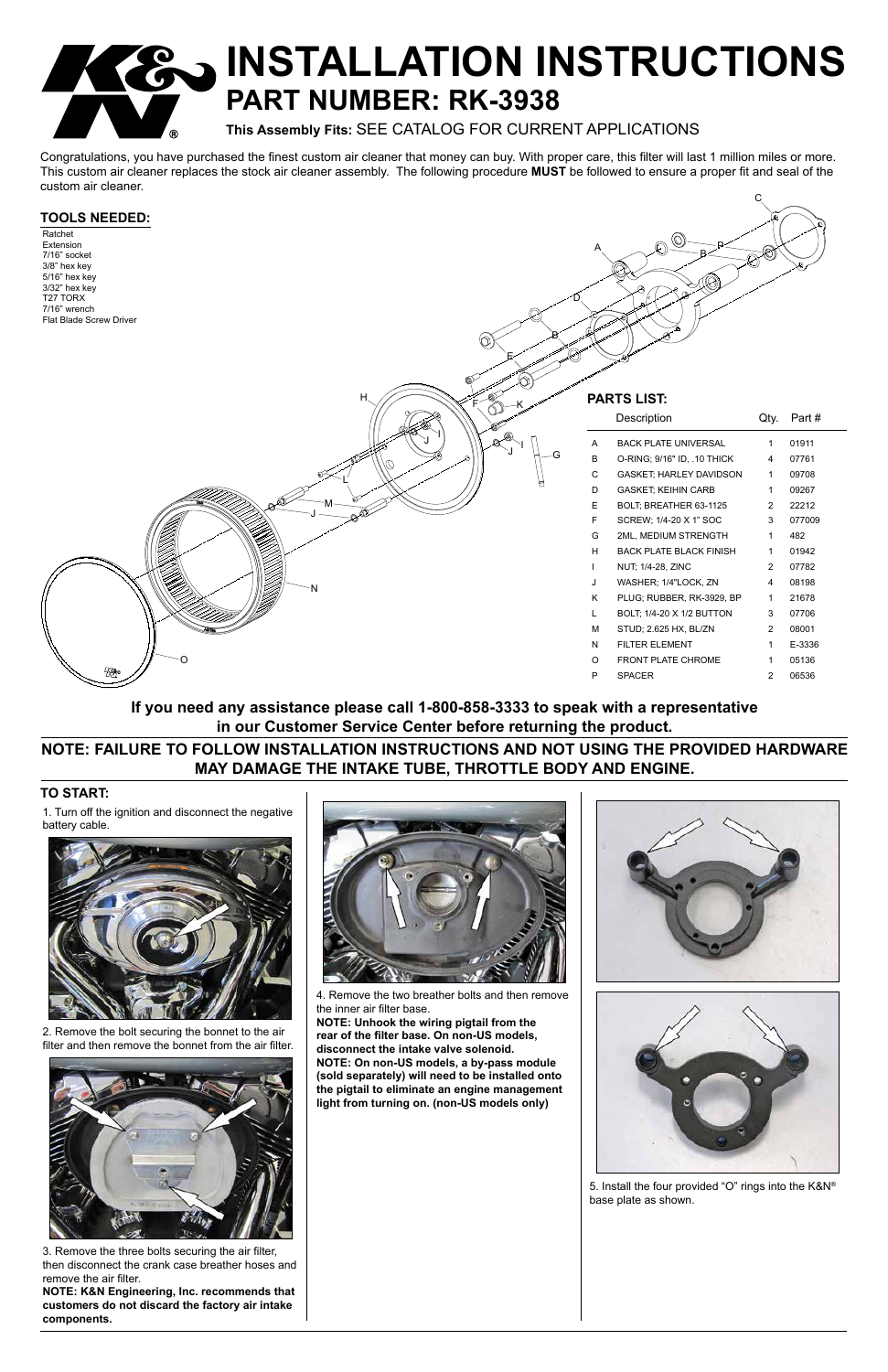A

C

B

L

M J

H

N

O



# **R AINSTALLATION INSTRUCTIONS PART NUMBER: RK-3938**

P

**This Assembly Fits:** SEE CATALOG FOR CURRENT APPLICATIONS

Congratulations, you have purchased the finest custom air cleaner that money can buy. With proper care, this filter will last 1 million miles or more. This custom air cleaner replaces the stock air cleaner assembly. The following procedure **MUST** be followed to ensure a proper fit and seal of the custom air cleaner.

# **TO START:**

# **TOOLS NEEDED:**

Ratchet Extension 7/16" socket 3/8" hex key 5/16" hex key 3/32" hex key T27 TORX 7/16" wrench Flat Blade Screw Driver

|                    |              | Ø                              |                |        |
|--------------------|--------------|--------------------------------|----------------|--------|
| <b>PARTS LIST:</b> |              |                                |                |        |
|                    |              | Description                    | Qty.           | Part#  |
|                    | A            | <b>BACK PLATE UNIVERSAL</b>    | 1              | 01911  |
| G                  | B            | O-RING; 9/16" ID, .10 THICK    | 4              | 07761  |
|                    | C            | GASKET, HARLEY DAVIDSON        | $\mathbf{1}$   | 09708  |
|                    | D            | <b>GASKET, KEIHIN CARB</b>     | 1              | 09267  |
|                    | E            | BOLT; BREATHER 63-1125         | $\overline{2}$ | 22212  |
|                    | F            | SCREW; 1/4-20 X 1" SOC         | 3              | 077009 |
|                    | G            | 2ML, MEDIUM STRENGTH           | $\mathbf{1}$   | 482    |
|                    | H            | <b>BACK PLATE BLACK FINISH</b> | 1              | 01942  |
|                    | $\mathsf{L}$ | NUT; 1/4-28, ZINC              | $\overline{2}$ | 07782  |
|                    | J            | WASHER; 1/4"LOCK, ZN           | 4              | 08198  |
|                    | K            | PLUG; RUBBER, RK-3929, BP      | 1              | 21678  |
|                    | L            | BOLT; 1/4-20 X 1/2 BUTTON      | 3              | 07706  |
|                    | M            | STUD; 2.625 HX, BL/ZN          | $\overline{2}$ | 08001  |
|                    | N            | <b>FILTER ELEMENT</b>          | 1              | E-3336 |
|                    | O            | <b>FRONT PLATE CHROME</b>      | 1              | 05136  |

1. Turn off the ignition and disconnect the negative battery cable.

2. Remove the bolt securing the bonnet to the air filter and then remove the bonnet from the air filter.



3. Remove the three bolts securing the air filter, then disconnect the crank case breather hoses and remove the air filter.

**NOTE: K&N Engineering, Inc. recommends that customers do not discard the factory air intake components.**



4. Remove the two breather bolts and then remove



P SPACER 2 06536

the inner air filter base.

**NOTE: Unhook the wiring pigtail from the rear of the filter base. On non-US models, disconnect the intake valve solenoid. NOTE: On non-US models, a by-pass module (sold separately) will need to be installed onto the pigtail to eliminate an engine management light from turning on. (non-US models only)**



5. Install the four provided "O" rings into the K&N® base plate as shown.

**NOTE: FAILURE TO FOLLOW INSTALLATION INSTRUCTIONS AND NOT USING THE PROVIDED HARDWARE MAY DAMAGE THE INTAKE TUBE, THROTTLE BODY AND ENGINE.**

**If you need any assistance please call 1-800-858-3333 to speak with a representative in our Customer Service Center before returning the product.**